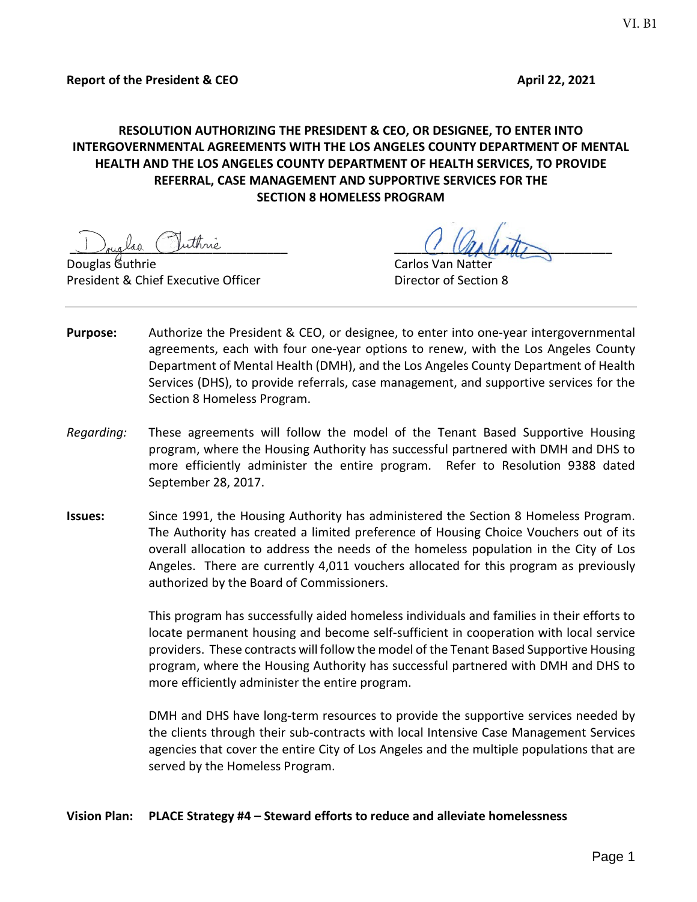# **RESOLUTION AUTHORIZING THE PRESIDENT & CEO, OR DESIGNEE, TO ENTER INTO INTERGOVERNMENTAL AGREEMENTS WITH THE LOS ANGELES COUNTY DEPARTMENT OF MENTAL HEALTH AND THE LOS ANGELES COUNTY DEPARTMENT OF HEALTH SERVICES, TO PROVIDE REFERRAL, CASE MANAGEMENT AND SUPPORTIVE SERVICES FOR THE SECTION 8 HOMELESS PROGRAM**

Douglas Guthrie Carlos Van Natter President & Chief Executive Officer **Director of Section 8** 

Jouglas Cuthrie (1000)

- **Purpose:** Authorize the President & CEO, or designee, to enter into one-year intergovernmental agreements, each with four one-year options to renew, with the Los Angeles County Department of Mental Health (DMH), and the Los Angeles County Department of Health Services (DHS), to provide referrals, case management, and supportive services for the Section 8 Homeless Program.
- *Regarding:* These agreements will follow the model of the Tenant Based Supportive Housing program, where the Housing Authority has successful partnered with DMH and DHS to more efficiently administer the entire program. Refer to Resolution 9388 dated September 28, 2017.
- **Issues:** Since 1991, the Housing Authority has administered the Section 8 Homeless Program. The Authority has created a limited preference of Housing Choice Vouchers out of its overall allocation to address the needs of the homeless population in the City of Los Angeles. There are currently 4,011 vouchers allocated for this program as previously authorized by the Board of Commissioners.

This program has successfully aided homeless individuals and families in their efforts to locate permanent housing and become self-sufficient in cooperation with local service providers. These contracts will follow the model of the Tenant Based Supportive Housing program, where the Housing Authority has successful partnered with DMH and DHS to more efficiently administer the entire program.

DMH and DHS have long-term resources to provide the supportive services needed by the clients through their sub-contracts with local Intensive Case Management Services agencies that cover the entire City of Los Angeles and the multiple populations that are served by the Homeless Program.

## **Vision Plan: PLACE Strategy #4 – Steward efforts to reduce and alleviate homelessness**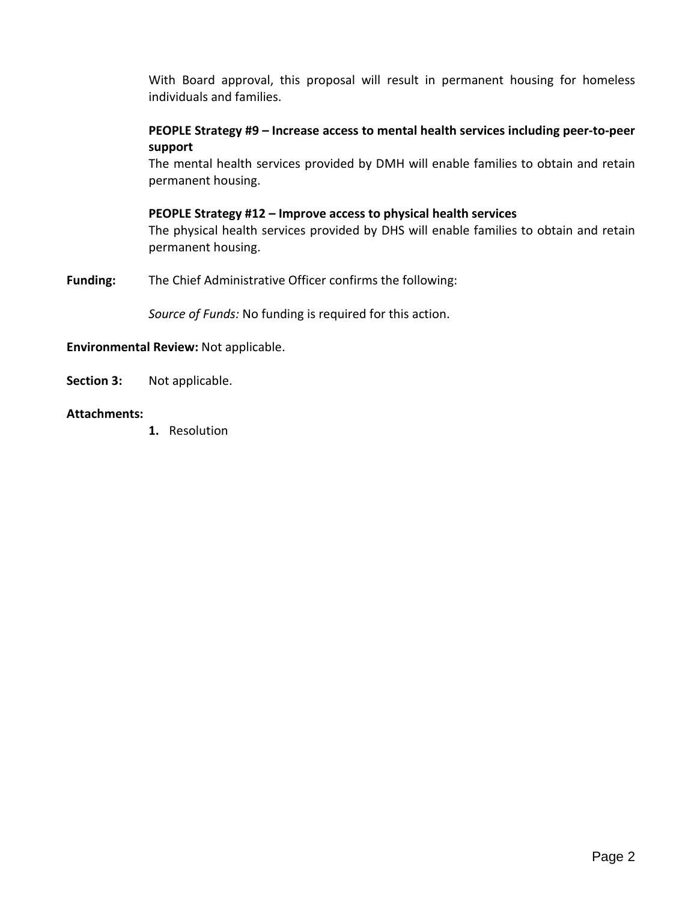With Board approval, this proposal will result in permanent housing for homeless individuals and families.

## **PEOPLE Strategy #9 – Increase access to mental health services including peer-to-peer support**

The mental health services provided by DMH will enable families to obtain and retain permanent housing.

#### **PEOPLE Strategy #12 – Improve access to physical health services**

The physical health services provided by DHS will enable families to obtain and retain permanent housing.

**Funding:** The Chief Administrative Officer confirms the following:

*Source of Funds:* No funding is required for this action.

#### **Environmental Review:** Not applicable.

**Section 3:** Not applicable.

## **Attachments:**

**1.** Resolution